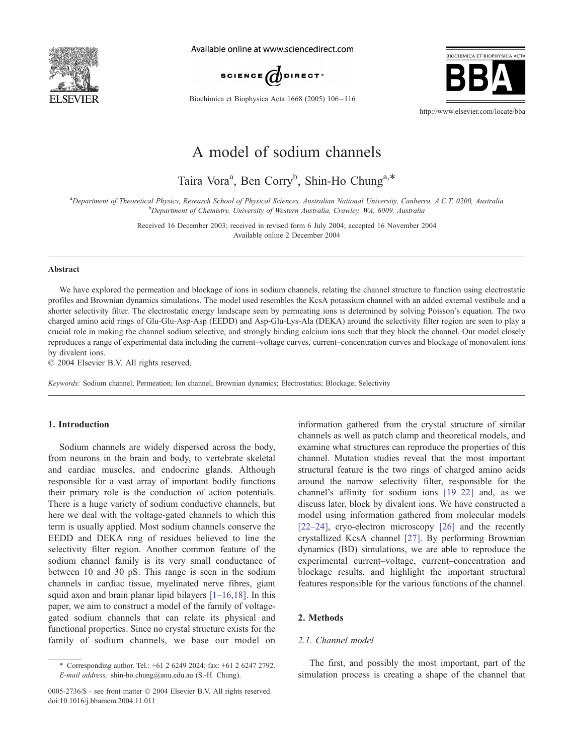

Available online at www.sciencedirect.com



Biochimica et Biophysica Acta 1668 (2005) 106 – 116



http://www.elsevier.com/locate/bba

# A model of sodium channels

Taira Vora<sup>a</sup>, Ben Corry<sup>b</sup>, Shin-Ho Chung<sup>a,\*</sup>

a Department of Theoretical Physics, Research School of Physical Sciences, Australian National University, Canberra, A.C.T. 0200, Australia **b**<br>Department of Chemistry, University of Western Australia, Crawley, WA, 6009, Australia

> Received 16 December 2003; received in revised form 6 July 2004; accepted 16 November 2004 Available online 2 December 2004

# Abstract

We have explored the permeation and blockage of ions in sodium channels, relating the channel structure to function using electrostatic profiles and Brownian dynamics simulations. The model used resembles the KcsA potassium channel with an added external vestibule and a shorter selectivity filter. The electrostatic energy landscape seen by permeating ions is determined by solving Poisson's equation. The two charged amino acid rings of Glu-Glu-Asp-Asp (EEDD) and Asp-Glu-Lys-Ala (DEKA) around the selectivity filter region are seen to play a crucial role in making the channel sodium selective, and strongly binding calcium ions such that they block the channel. Our model closely reproduces a range of experimental data including the current–voltage curves, current–concentration curves and blockage of monovalent ions by divalent ions.

 $© 2004 Elsevier B.V. All rights reserved.$ 

Keywords: Sodium channel; Permeation; Ion channel; Brownian dynamics; Electrostatics; Blockage; Selectivity

# 1. Introduction

Sodium channels are widely dispersed across the body, from neurons in the brain and body, to vertebrate skeletal and cardiac muscles, and endocrine glands. Although responsible for a vast array of important bodily functions their primary role is the conduction of action potentials. There is a huge variety of sodium conductive channels, but here we deal with the voltage-gated channels to which this term is usually applied. Most sodium channels conserve the EEDD and DEKA ring of residues believed to line the selectivity filter region. Another common feature of the sodium channel family is its very small conductance of between 10 and 30 pS. This range is seen in the sodium channels in cardiac tissue, myelinated nerve fibres, giant squid axon and brain planar lipid bilayers  $[1–16,18]$ . In this paper, we aim to construct a model of the family of voltagegated sodium channels that can relate its physical and functional properties. Since no crystal structure exists for the family of sodium channels, we base our model on information gathered from the crystal structure of similar channels as well as patch clamp and theoretical models, and examine what structures can reproduce the properties of this channel. Mutation studies reveal that the most important structural feature is the two rings of charged amino acids around the narrow selectivity filter, responsible for the channel's affinity for sodium ions [\[19–22\]](#page-10-0) and, as we discuss later, block by divalent ions. We have constructed a model using information gathered from molecular models [\[22–24\],](#page-10-0) cryo-electron microscopy [\[26\]](#page-10-0) and the recently crystallized KcsA channel [\[27\].](#page-10-0) By performing Brownian dynamics (BD) simulations, we are able to reproduce the experimental current–voltage, current–concentration and blockage results, and highlight the important structural features responsible for the various functions of the channel.

# 2. Methods

# 2.1. Channel model

The first, and possibly the most important, part of the simulation process is creating a shape of the channel that

<sup>\*</sup> Corresponding author. Tel.: +61 2 6249 2024; fax: +61 2 6247 2792. E-mail address: shin-ho.chung@anu.edu.au (S.-H. Chung).

<sup>0005-2736/\$ -</sup> see front matter © 2004 Elsevier B.V. All rights reserved. doi:10.1016/j.bbamem.2004.11.011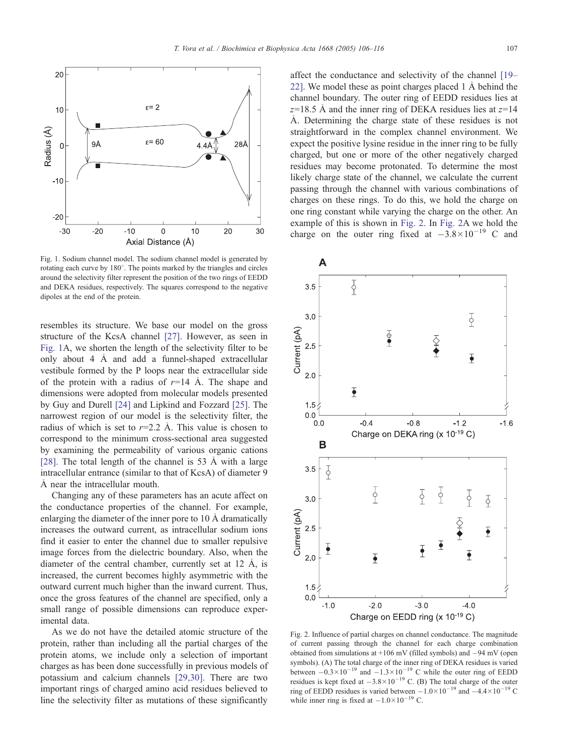<span id="page-1-0"></span>

Fig. 1. Sodium channel model. The sodium channel model is generated by rotating each curve by 180°. The points marked by the triangles and circles around the selectivity filter represent the position of the two rings of EEDD and DEKA residues, respectively. The squares correspond to the negative dipoles at the end of the protein.

resembles its structure. We base our model on the gross structure of the KcsA channel [\[27\].](#page-10-0) However, as seen in Fig. 1A, we shorten the length of the selectivity filter to be only about  $4 \text{ Å}$  and add a funnel-shaped extracellular vestibule formed by the P loops near the extracellular side of the protein with a radius of  $r=14$  Å. The shape and dimensions were adopted from molecular models presented by Guy and Durell [\[24\]](#page-10-0) and Lipkind and Fozzard [\[25\].](#page-10-0) The narrowest region of our model is the selectivity filter, the radius of which is set to  $r=2.2$  Å. This value is chosen to correspond to the minimum cross-sectional area suggested by examining the permeability of various organic cations [\[28\].](#page-10-0) The total length of the channel is  $53 \text{ Å}$  with a large intracellular entrance (similar to that of KcsA) of diameter 9 A near the intracellular mouth.

Changing any of these parameters has an acute affect on the conductance properties of the channel. For example, enlarging the diameter of the inner pore to  $10 \text{ Å}$  dramatically increases the outward current, as intracellular sodium ions find it easier to enter the channel due to smaller repulsive image forces from the dielectric boundary. Also, when the diameter of the central chamber, currently set at  $12 \text{ Å}$ , is increased, the current becomes highly asymmetric with the outward current much higher than the inward current. Thus, once the gross features of the channel are specified, only a small range of possible dimensions can reproduce experimental data.

As we do not have the detailed atomic structure of the protein, rather than including all the partial charges of the protein atoms, we include only a selection of important charges as has been done successfully in previous models of potassium and calcium channels [\[29,30\].](#page-10-0) There are two important rings of charged amino acid residues believed to line the selectivity filter as mutations of these significantly

affect the conductance and selectivity of the channel [\[19–](#page-10-0) 22]. We model these as point charges placed  $1 \text{ Å}$  behind the channel boundary. The outer ring of EEDD residues lies at  $z=18.5$  Å and the inner ring of DEKA residues lies at  $z=14$ A. Determining the charge state of these residues is not straightforward in the complex channel environment. We expect the positive lysine residue in the inner ring to be fully charged, but one or more of the other negatively charged residues may become protonated. To determine the most likely charge state of the channel, we calculate the current passing through the channel with various combinations of charges on these rings. To do this, we hold the charge on one ring constant while varying the charge on the other. An example of this is shown in Fig. 2. In Fig. 2A we hold the charge on the outer ring fixed at  $-3.8 \times 10^{-19}$  C and



Fig. 2. Influence of partial charges on channel conductance. The magnitude of current passing through the channel for each charge combination obtained from simulations at  $+106$  mV (filled symbols) and  $-94$  mV (open symbols). (A) The total charge of the inner ring of DEKA residues is varied between  $-0.3 \times 10^{-19}$  and  $-1.3 \times 10^{-19}$  C while the outer ring of EEDD residues is kept fixed at  $-3.8 \times 10^{-19}$  C. (B) The total charge of the outer ring of EEDD residues is varied between  $-1.0 \times 10^{-19}$  and  $-4.4 \times 10^{-19}$  C while inner ring is fixed at  $-1.0 \times 10^{-19}$  C.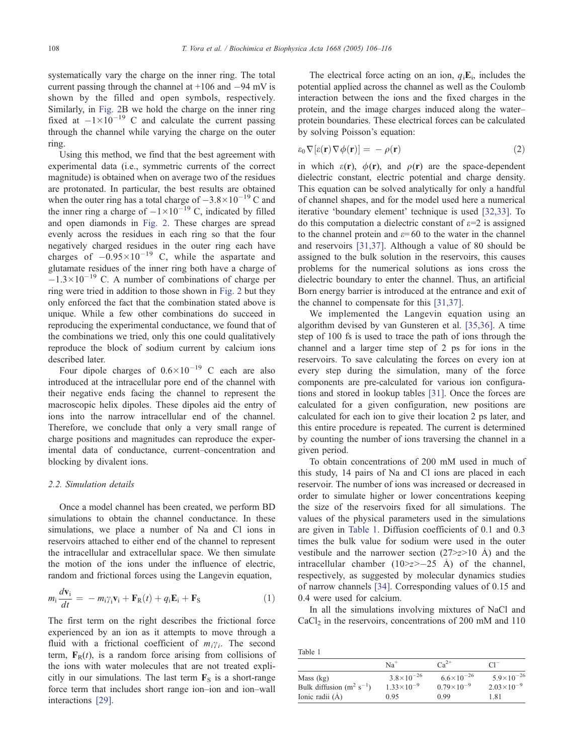systematically vary the charge on the inner ring. The total current passing through the channel at  $+106$  and  $-94$  mV is shown by the filled and open symbols, respectively. Similarly, in [Fig. 2B](#page-1-0) we hold the charge on the inner ring fixed at  $-1 \times 10^{-19}$  C and calculate the current passing through the channel while varying the charge on the outer ring.

Using this method, we find that the best agreement with experimental data (i.e., symmetric currents of the correct magnitude) is obtained when on average two of the residues are protonated. In particular, the best results are obtained when the outer ring has a total charge of  $-3.8 \times 10^{-19}$  C and the inner ring a charge of  $-1 \times 10^{-19}$  C, indicated by filled and open diamonds in [Fig. 2.](#page-1-0) These charges are spread evenly across the residues in each ring so that the four negatively charged residues in the outer ring each have charges of  $-0.95 \times 10^{-19}$  C, while the aspartate and glutamate residues of the inner ring both have a charge of  $-1.3\times10^{-19}$  C. A number of combinations of charge per ring were tried in addition to those shown in [Fig. 2](#page-1-0) but they only enforced the fact that the combination stated above is unique. While a few other combinations do succeed in reproducing the experimental conductance, we found that of the combinations we tried, only this one could qualitatively reproduce the block of sodium current by calcium ions described later.

Four dipole charges of  $0.6 \times 10^{-19}$  C each are also introduced at the intracellular pore end of the channel with their negative ends facing the channel to represent the macroscopic helix dipoles. These dipoles aid the entry of ions into the narrow intracellular end of the channel. Therefore, we conclude that only a very small range of charge positions and magnitudes can reproduce the experimental data of conductance, current–concentration and blocking by divalent ions.

#### 2.2. Simulation details

Once a model channel has been created, we perform BD simulations to obtain the channel conductance. In these simulations, we place a number of Na and Cl ions in reservoirs attached to either end of the channel to represent the intracellular and extracellular space. We then simulate the motion of the ions under the influence of electric, random and frictional forces using the Langevin equation,

$$
m_i \frac{d\mathbf{v}_i}{dt} = -m_i \gamma_i \mathbf{v}_i + \mathbf{F}_R(t) + q_i \mathbf{E}_i + \mathbf{F}_S
$$
 (1)

The first term on the right describes the frictional force experienced by an ion as it attempts to move through a fluid with a frictional coefficient of  $m_i\gamma_i$ . The second term,  $F_R(t)$ , is a random force arising from collisions of the ions with water molecules that are not treated explicitly in our simulations. The last term  $\mathbf{F}_\text{S}$  is a short-range force term that includes short range ion–ion and ion–wall interactions [\[29\].](#page-10-0)

The electrical force acting on an ion,  $q_i$ **E**<sub>i</sub>, includes the potential applied across the channel as well as the Coulomb interaction between the ions and the fixed charges in the protein, and the image charges induced along the water– protein boundaries. These electrical forces can be calculated by solving Poisson's equation:

$$
\varepsilon_0 \nabla \left[ \varepsilon(\mathbf{r}) \nabla \phi(\mathbf{r}) \right] = -\rho(\mathbf{r}) \tag{2}
$$

in which  $\varepsilon(\mathbf{r})$ ,  $\phi(\mathbf{r})$ , and  $\rho(\mathbf{r})$  are the space-dependent dielectric constant, electric potential and charge density. This equation can be solved analytically for only a handful of channel shapes, and for the model used here a numerical iterative 'boundary element' technique is used [\[32,33\].](#page-10-0) To do this computation a dielectric constant of  $\varepsilon$ =2 is assigned to the channel protein and  $\varepsilon$ =60 to the water in the channel and reservoirs [\[31,37\].](#page-10-0) Although a value of 80 should be assigned to the bulk solution in the reservoirs, this causes problems for the numerical solutions as ions cross the dielectric boundary to enter the channel. Thus, an artificial Born energy barrier is introduced at the entrance and exit of the channel to compensate for this [\[31,37\].](#page-10-0)

We implemented the Langevin equation using an algorithm devised by van Gunsteren et al. [\[35,36\].](#page-10-0) A time step of 100 fs is used to trace the path of ions through the channel and a larger time step of 2 ps for ions in the reservoirs. To save calculating the forces on every ion at every step during the simulation, many of the force components are pre-calculated for various ion configurations and stored in lookup tables [\[31\].](#page-10-0) Once the forces are calculated for a given configuration, new positions are calculated for each ion to give their location 2 ps later, and this entire procedure is repeated. The current is determined by counting the number of ions traversing the channel in a given period.

To obtain concentrations of 200 mM used in much of this study, 14 pairs of Na and Cl ions are placed in each reservoir. The number of ions was increased or decreased in order to simulate higher or lower concentrations keeping the size of the reservoirs fixed for all simulations. The values of the physical parameters used in the simulations are given in Table 1. Diffusion coefficients of 0.1 and 0.3 times the bulk value for sodium were used in the outer vestibule and the narrower section  $(27\text{m/s})$  and the intracellular chamber  $(10 \ge z \ge -25 \text{ Å})$  of the channel, respectively, as suggested by molecular dynamics studies of narrow channels [\[34\].](#page-10-0) Corresponding values of 0.15 and 0.4 were used for calcium.

In all the simulations involving mixtures of NaCl and  $CaCl<sub>2</sub>$  in the reservoirs, concentrations of 200 mM and 110

| ×<br>I |  |
|--------|--|
|--------|--|

|                               | $Na+$                 | $Ca^{2+}$           | $Cl^-$                         |
|-------------------------------|-----------------------|---------------------|--------------------------------|
| Mass $(kg)$                   | 3 $8 \times 10^{-26}$ | $6.6\times10^{-26}$ | 5 9 $\times$ 10 <sup>-26</sup> |
| Bulk diffusion $(m^2 s^{-1})$ | $1.33 \times 10^{-9}$ | $0.79\times10^{-9}$ | $2.03 \times 10^{-9}$          |
| Ionic radii (Å)               | 0.95                  | 0.99                | 1.81                           |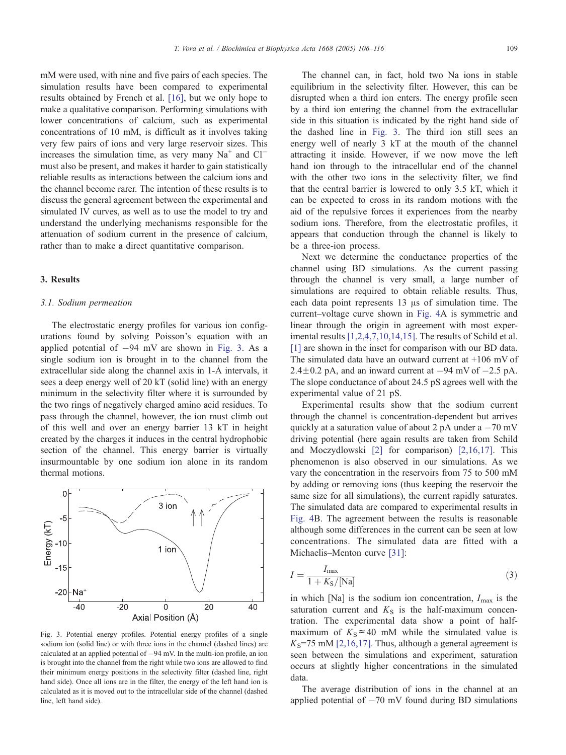<span id="page-3-0"></span>mM were used, with nine and five pairs of each species. The simulation results have been compared to experimental results obtained by French et al. [\[16\],](#page-10-0) but we only hope to make a qualitative comparison. Performing simulations with lower concentrations of calcium, such as experimental concentrations of 10 mM, is difficult as it involves taking very few pairs of ions and very large reservoir sizes. This increases the simulation time, as very many  $Na<sup>+</sup>$  and  $Cl$ must also be present, and makes it harder to gain statistically reliable results as interactions between the calcium ions and the channel become rarer. The intention of these results is to discuss the general agreement between the experimental and simulated IV curves, as well as to use the model to try and understand the underlying mechanisms responsible for the attenuation of sodium current in the presence of calcium, rather than to make a direct quantitative comparison.

# 3. Results

#### 3.1. Sodium permeation

The electrostatic energy profiles for various ion configurations found by solving Poisson's equation with an applied potential of  $-94$  mV are shown in Fig. 3. As a single sodium ion is brought in to the channel from the extracellular side along the channel axis in  $1-\text{\AA}$  intervals, it sees a deep energy well of 20 kT (solid line) with an energy minimum in the selectivity filter where it is surrounded by the two rings of negatively charged amino acid residues. To pass through the channel, however, the ion must climb out of this well and over an energy barrier 13 kT in height created by the charges it induces in the central hydrophobic section of the channel. This energy barrier is virtually insurmountable by one sodium ion alone in its random thermal motions.



Fig. 3. Potential energy profiles. Potential energy profiles of a single sodium ion (solid line) or with three ions in the channel (dashed lines) are calculated at an applied potential of  $-94$  mV. In the multi-ion profile, an ion is brought into the channel from the right while two ions are allowed to find their minimum energy positions in the selectivity filter (dashed line, right hand side). Once all ions are in the filter, the energy of the left hand ion is calculated as it is moved out to the intracellular side of the channel (dashed line, left hand side).

The channel can, in fact, hold two Na ions in stable equilibrium in the selectivity filter. However, this can be disrupted when a third ion enters. The energy profile seen by a third ion entering the channel from the extracellular side in this situation is indicated by the right hand side of the dashed line in Fig. 3. The third ion still sees an energy well of nearly 3 kT at the mouth of the channel attracting it inside. However, if we now move the left hand ion through to the intracellular end of the channel with the other two ions in the selectivity filter, we find that the central barrier is lowered to only 3.5 kT, which it can be expected to cross in its random motions with the aid of the repulsive forces it experiences from the nearby sodium ions. Therefore, from the electrostatic profiles, it appears that conduction through the channel is likely to be a three-ion process.

Next we determine the conductance properties of the channel using BD simulations. As the current passing through the channel is very small, a large number of simulations are required to obtain reliable results. Thus, each data point represents  $13 \mu s$  of simulation time. The current–voltage curve shown in [Fig. 4A](#page-4-0) is symmetric and linear through the origin in agreement with most experimental results [\[1,2,4,7,10,14,15\].](#page-9-0) The results of Schild et al. [\[1\]](#page-9-0) are shown in the inset for comparison with our BD data. The simulated data have an outward current at +106 mV of  $2.4+0.2$  pA, and an inward current at  $-94$  mV of  $-2.5$  pA. The slope conductance of about 24.5 pS agrees well with the experimental value of 21 pS.

Experimental results show that the sodium current through the channel is concentration-dependent but arrives quickly at a saturation value of about 2 pA under a  $-70$  mV driving potential (here again results are taken from Schild and Moczydlowski [\[2\]](#page-9-0) for comparison) [\[2,16,17\].](#page-9-0) This phenomenon is also observed in our simulations. As we vary the concentration in the reservoirs from 75 to 500 mM by adding or removing ions (thus keeping the reservoir the same size for all simulations), the current rapidly saturates. The simulated data are compared to experimental results in [Fig. 4B](#page-4-0). The agreement between the results is reasonable although some differences in the current can be seen at low concentrations. The simulated data are fitted with a Michaelis–Menton curve [\[31\]:](#page-10-0)

$$
I = \frac{I_{\text{max}}}{1 + K_{\text{S}} / [\text{Na}]} \tag{3}
$$

in which [Na] is the sodium ion concentration,  $I_{\text{max}}$  is the saturation current and  $K<sub>S</sub>$  is the half-maximum concentration. The experimental data show a point of halfmaximum of  $K_s \approx 40$  mM while the simulated value is  $K_S$ =75 mM [\[2,16,17\].](#page-9-0) Thus, although a general agreement is seen between the simulations and experiment, saturation occurs at slightly higher concentrations in the simulated data.

The average distribution of ions in the channel at an applied potential of  $-70$  mV found during BD simulations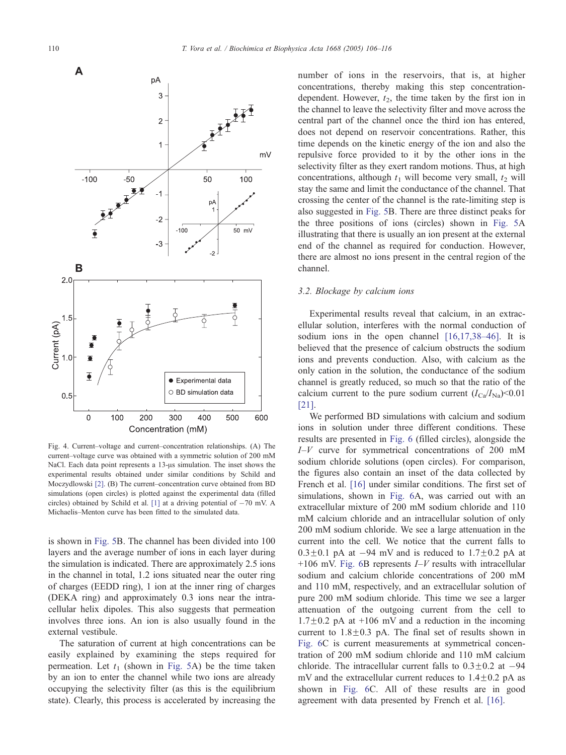<span id="page-4-0"></span>

Fig. 4. Current–voltage and current–concentration relationships. (A) The current–voltage curve was obtained with a symmetric solution of 200 mM NaCl. Each data point represents a 13-us simulation. The inset shows the experimental results obtained under similar conditions by Schild and Moczydlowski [\[2\]](#page-9-0). (B) The current–concentration curve obtained from BD simulations (open circles) is plotted against the experimental data (filled circles) obtained by Schild et al. [\[1\]](#page-9-0) at a driving potential of  $-70$  mV. A Michaelis–Menton curve has been fitted to the simulated data.

is shown in [Fig. 5B](#page-5-0). The channel has been divided into 100 layers and the average number of ions in each layer during the simulation is indicated. There are approximately 2.5 ions in the channel in total, 1.2 ions situated near the outer ring of charges (EEDD ring), 1 ion at the inner ring of charges (DEKA ring) and approximately 0.3 ions near the intracellular helix dipoles. This also suggests that permeation involves three ions. An ion is also usually found in the external vestibule.

The saturation of current at high concentrations can be easily explained by examining the steps required for permeation. Let  $t_1$  (shown in [Fig. 5A](#page-5-0)) be the time taken by an ion to enter the channel while two ions are already occupying the selectivity filter (as this is the equilibrium state). Clearly, this process is accelerated by increasing the number of ions in the reservoirs, that is, at higher concentrations, thereby making this step concentrationdependent. However,  $t_2$ , the time taken by the first ion in the channel to leave the selectivity filter and move across the central part of the channel once the third ion has entered, does not depend on reservoir concentrations. Rather, this time depends on the kinetic energy of the ion and also the repulsive force provided to it by the other ions in the selectivity filter as they exert random motions. Thus, at high concentrations, although  $t_1$  will become very small,  $t_2$  will stay the same and limit the conductance of the channel. That crossing the center of the channel is the rate-limiting step is also suggested in [Fig. 5B](#page-5-0). There are three distinct peaks for the three positions of ions (circles) shown in [Fig. 5A](#page-5-0) illustrating that there is usually an ion present at the external end of the channel as required for conduction. However, there are almost no ions present in the central region of the channel.

#### 3.2. Blockage by calcium ions

Experimental results reveal that calcium, in an extracellular solution, interferes with the normal conduction of sodium ions in the open channel [\[16,17,38–46\].](#page-10-0) It is believed that the presence of calcium obstructs the sodium ions and prevents conduction. Also, with calcium as the only cation in the solution, the conductance of the sodium channel is greatly reduced, so much so that the ratio of the calcium current to the pure sodium current  $(I_{Ca}/I_{Na})<0.01$ [\[21\].](#page-10-0)

We performed BD simulations with calcium and sodium ions in solution under three different conditions. These results are presented in [Fig. 6](#page-6-0) (filled circles), alongside the I–V curve for symmetrical concentrations of 200 mM sodium chloride solutions (open circles). For comparison, the figures also contain an inset of the data collected by French et al. [\[16\]](#page-10-0) under similar conditions. The first set of simulations, shown in [Fig. 6A](#page-6-0), was carried out with an extracellular mixture of 200 mM sodium chloride and 110 mM calcium chloride and an intracellular solution of only 200 mM sodium chloride. We see a large attenuation in the current into the cell. We notice that the current falls to  $0.3\pm0.1$  pA at  $-94$  mV and is reduced to  $1.7\pm0.2$  pA at  $+106$  mV. [Fig. 6B](#page-6-0) represents  $I-V$  results with intracellular sodium and calcium chloride concentrations of 200 mM and 110 mM, respectively, and an extracellular solution of pure 200 mM sodium chloride. This time we see a larger attenuation of the outgoing current from the cell to  $1.7\pm0.2$  pA at +106 mV and a reduction in the incoming current to  $1.8 \pm 0.3$  pA. The final set of results shown in [Fig. 6C](#page-6-0) is current measurements at symmetrical concentration of 200 mM sodium chloride and 110 mM calcium chloride. The intracellular current falls to  $0.3\pm 0.2$  at  $-94$ mV and the extracellular current reduces to  $1.4\pm0.2$  pA as shown in [Fig. 6C](#page-6-0). All of these results are in good agreement with data presented by French et al. [\[16\].](#page-10-0)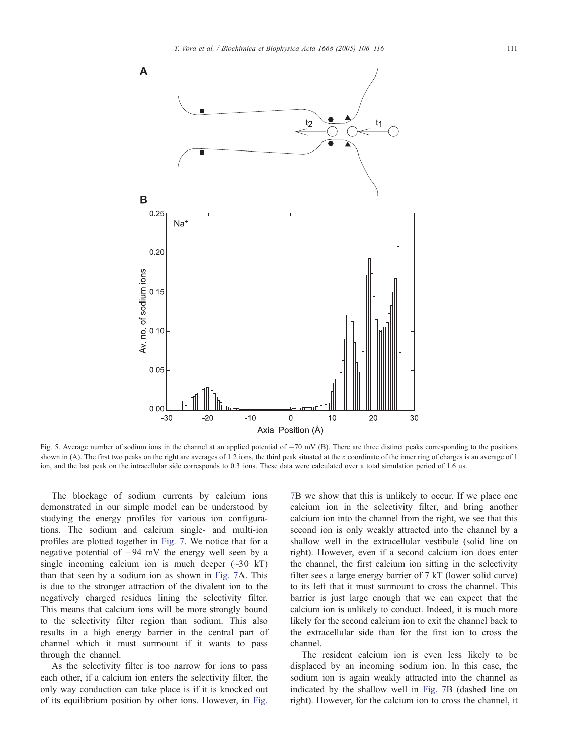<span id="page-5-0"></span>

Fig. 5. Average number of sodium ions in the channel at an applied potential of  $-70$  mV (B). There are three distinct peaks corresponding to the positions shown in (A). The first two peaks on the right are averages of 1.2 ions, the third peak situated at the z coordinate of the inner ring of charges is an average of 1 ion, and the last peak on the intracellular side corresponds to 0.3 ions. These data were calculated over a total simulation period of 1.6  $\mu$ s.

The blockage of sodium currents by calcium ions demonstrated in our simple model can be understood by studying the energy profiles for various ion configurations. The sodium and calcium single- and multi-ion profiles are plotted together in [Fig. 7.](#page-6-0) We notice that for a negative potential of  $-94$  mV the energy well seen by a single incoming calcium ion is much deeper  $(\sim 30 \text{ kT})$ than that seen by a sodium ion as shown in [Fig. 7A](#page-6-0). This is due to the stronger attraction of the divalent ion to the negatively charged residues lining the selectivity filter. This means that calcium ions will be more strongly bound to the selectivity filter region than sodium. This also results in a high energy barrier in the central part of channel which it must surmount if it wants to pass through the channel.

As the selectivity filter is too narrow for ions to pass each other, if a calcium ion enters the selectivity filter, the only way conduction can take place is if it is knocked out of its equilibrium position by other ions. However, in [Fig.](#page-6-0)

7B we show that this is unlikely to occur. If we place one calcium ion in the selectivity filter, and bring another calcium ion into the channel from the right, we see that this second ion is only weakly attracted into the channel by a shallow well in the extracellular vestibule (solid line on right). However, even if a second calcium ion does enter the channel, the first calcium ion sitting in the selectivity filter sees a large energy barrier of 7 kT (lower solid curve) to its left that it must surmount to cross the channel. This barrier is just large enough that we can expect that the calcium ion is unlikely to conduct. Indeed, it is much more likely for the second calcium ion to exit the channel back to the extracellular side than for the first ion to cross the channel.

The resident calcium ion is even less likely to be displaced by an incoming sodium ion. In this case, the sodium ion is again weakly attracted into the channel as indicated by the shallow well in [Fig. 7B](#page-6-0) (dashed line on right). However, for the calcium ion to cross the channel, it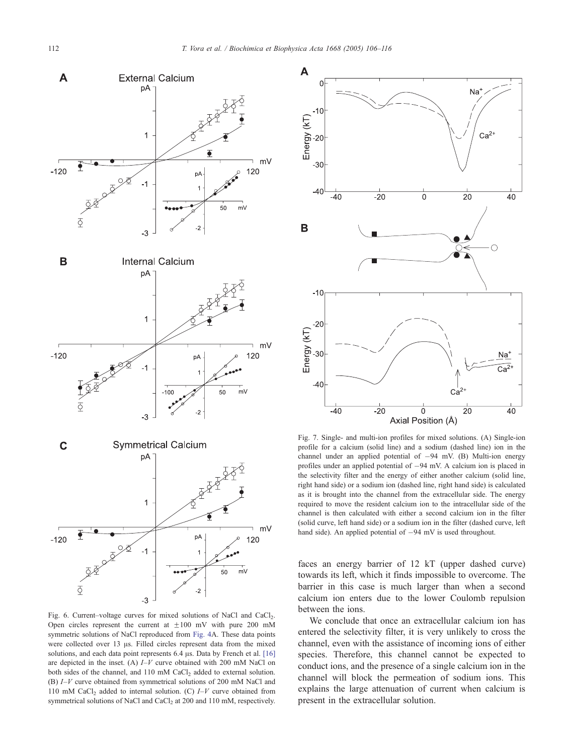<span id="page-6-0"></span>

Fig. 6. Current-voltage curves for mixed solutions of NaCl and CaCl<sub>2</sub>. Open circles represent the current at  $\pm 100$  mV with pure 200 mM symmetric solutions of NaCl reproduced from [Fig. 4A](#page-4-0). These data points were collected over 13  $\mu$ s. Filled circles represent data from the mixed solutions, and each data point represents  $6.4 \mu s$ . Data by French et al. [\[16\]](#page-10-0) are depicted in the inset. (A)  $I-V$  curve obtained with 200 mM NaCl on both sides of the channel, and 110 mM CaCl<sub>2</sub> added to external solution. (B) I–V curve obtained from symmetrical solutions of 200 mM NaCl and 110 mM CaCl<sub>2</sub> added to internal solution. (C)  $I-V$  curve obtained from symmetrical solutions of NaCl and CaCl<sub>2</sub> at 200 and 110 mM, respectively.



Fig. 7. Single- and multi-ion profiles for mixed solutions. (A) Single-ion profile for a calcium (solid line) and a sodium (dashed line) ion in the channel under an applied potential of  $-94$  mV. (B) Multi-ion energy profiles under an applied potential of  $-94$  mV. A calcium ion is placed in the selectivity filter and the energy of either another calcium (solid line, right hand side) or a sodium ion (dashed line, right hand side) is calculated as it is brought into the channel from the extracellular side. The energy required to move the resident calcium ion to the intracellular side of the channel is then calculated with either a second calcium ion in the filter (solid curve, left hand side) or a sodium ion in the filter (dashed curve, left hand side). An applied potential of  $-94$  mV is used throughout.

faces an energy barrier of 12 kT (upper dashed curve) towards its left, which it finds impossible to overcome. The barrier in this case is much larger than when a second calcium ion enters due to the lower Coulomb repulsion between the ions.

We conclude that once an extracellular calcium ion has entered the selectivity filter, it is very unlikely to cross the channel, even with the assistance of incoming ions of either species. Therefore, this channel cannot be expected to conduct ions, and the presence of a single calcium ion in the channel will block the permeation of sodium ions. This explains the large attenuation of current when calcium is present in the extracellular solution.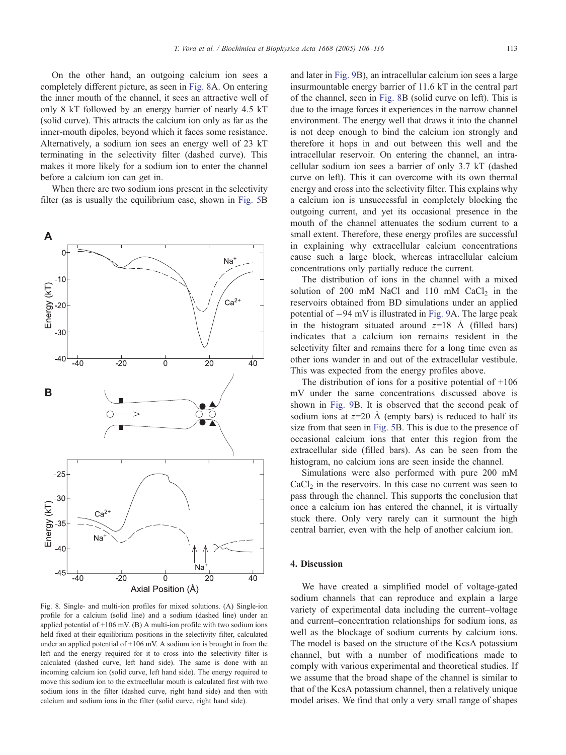On the other hand, an outgoing calcium ion sees a completely different picture, as seen in Fig. 8A. On entering the inner mouth of the channel, it sees an attractive well of only 8 kT followed by an energy barrier of nearly 4.5 kT (solid curve). This attracts the calcium ion only as far as the inner-mouth dipoles, beyond which it faces some resistance. Alternatively, a sodium ion sees an energy well of 23 kT terminating in the selectivity filter (dashed curve). This makes it more likely for a sodium ion to enter the channel before a calcium ion can get in.

When there are two sodium ions present in the selectivity filter (as is usually the equilibrium case, shown in [Fig. 5B](#page-5-0)



Fig. 8. Single- and multi-ion profiles for mixed solutions. (A) Single-ion profile for a calcium (solid line) and a sodium (dashed line) under an applied potential of  $+106$  mV. (B) A multi-ion profile with two sodium ions held fixed at their equilibrium positions in the selectivity filter, calculated under an applied potential of  $+106$  mV. A sodium ion is brought in from the left and the energy required for it to cross into the selectivity filter is calculated (dashed curve, left hand side). The same is done with an incoming calcium ion (solid curve, left hand side). The energy required to move this sodium ion to the extracellular mouth is calculated first with two sodium ions in the filter (dashed curve, right hand side) and then with calcium and sodium ions in the filter (solid curve, right hand side).

and later in [Fig. 9B](#page-8-0)), an intracellular calcium ion sees a large insurmountable energy barrier of 11.6 kT in the central part of the channel, seen in Fig. 8B (solid curve on left). This is due to the image forces it experiences in the narrow channel environment. The energy well that draws it into the channel is not deep enough to bind the calcium ion strongly and therefore it hops in and out between this well and the intracellular reservoir. On entering the channel, an intracellular sodium ion sees a barrier of only 3.7 kT (dashed curve on left). This it can overcome with its own thermal energy and cross into the selectivity filter. This explains why a calcium ion is unsuccessful in completely blocking the outgoing current, and yet its occasional presence in the mouth of the channel attenuates the sodium current to a small extent. Therefore, these energy profiles are successful in explaining why extracellular calcium concentrations cause such a large block, whereas intracellular calcium concentrations only partially reduce the current.

The distribution of ions in the channel with a mixed solution of 200 mM NaCl and 110 mM CaCl<sub>2</sub> in the reservoirs obtained from BD simulations under an applied potential of  $-94$  mV is illustrated in [Fig. 9A](#page-8-0). The large peak in the histogram situated around  $z=18$  Å (filled bars) indicates that a calcium ion remains resident in the selectivity filter and remains there for a long time even as other ions wander in and out of the extracellular vestibule. This was expected from the energy profiles above.

The distribution of ions for a positive potential of  $+106$ mV under the same concentrations discussed above is shown in [Fig. 9B](#page-8-0). It is observed that the second peak of sodium ions at  $z=20$  Å (empty bars) is reduced to half its size from that seen in [Fig. 5B](#page-5-0). This is due to the presence of occasional calcium ions that enter this region from the extracellular side (filled bars). As can be seen from the histogram, no calcium ions are seen inside the channel.

Simulations were also performed with pure 200 mM  $CaCl<sub>2</sub>$  in the reservoirs. In this case no current was seen to pass through the channel. This supports the conclusion that once a calcium ion has entered the channel, it is virtually stuck there. Only very rarely can it surmount the high central barrier, even with the help of another calcium ion.

### 4. Discussion

We have created a simplified model of voltage-gated sodium channels that can reproduce and explain a large variety of experimental data including the current–voltage and current–concentration relationships for sodium ions, as well as the blockage of sodium currents by calcium ions. The model is based on the structure of the KcsA potassium channel, but with a number of modifications made to comply with various experimental and theoretical studies. If we assume that the broad shape of the channel is similar to that of the KcsA potassium channel, then a relatively unique model arises. We find that only a very small range of shapes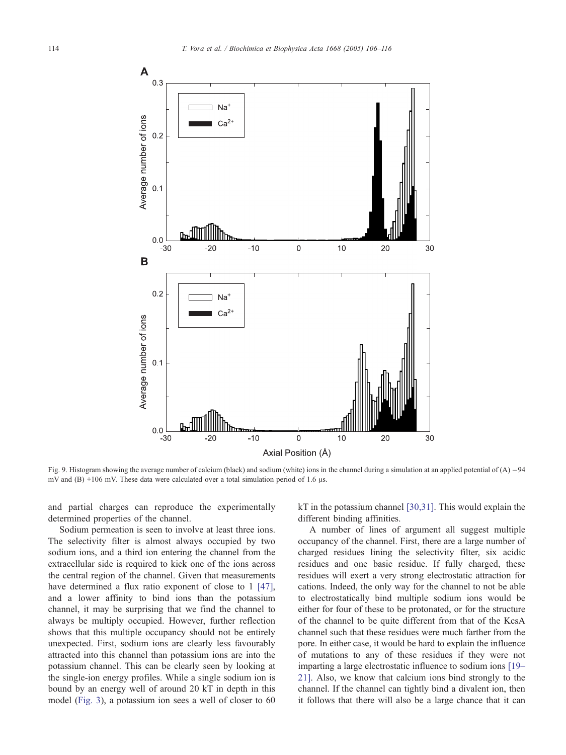<span id="page-8-0"></span>

Fig. 9. Histogram showing the average number of calcium (black) and sodium (white) ions in the channel during a simulation at an applied potential of  $(A)$  -94 mV and (B)  $+106$  mV. These data were calculated over a total simulation period of 1.6  $\mu$ s.

and partial charges can reproduce the experimentally determined properties of the channel.

Sodium permeation is seen to involve at least three ions. The selectivity filter is almost always occupied by two sodium ions, and a third ion entering the channel from the extracellular side is required to kick one of the ions across the central region of the channel. Given that measurements have determined a flux ratio exponent of close to 1 [\[47\],](#page-10-0) and a lower affinity to bind ions than the potassium channel, it may be surprising that we find the channel to always be multiply occupied. However, further reflection shows that this multiple occupancy should not be entirely unexpected. First, sodium ions are clearly less favourably attracted into this channel than potassium ions are into the potassium channel. This can be clearly seen by looking at the single-ion energy profiles. While a single sodium ion is bound by an energy well of around 20 kT in depth in this model ([Fig. 3](#page-3-0)), a potassium ion sees a well of closer to 60 kT in the potassium channel [\[30,31\].](#page-10-0) This would explain the different binding affinities.

A number of lines of argument all suggest multiple occupancy of the channel. First, there are a large number of charged residues lining the selectivity filter, six acidic residues and one basic residue. If fully charged, these residues will exert a very strong electrostatic attraction for cations. Indeed, the only way for the channel to not be able to electrostatically bind multiple sodium ions would be either for four of these to be protonated, or for the structure of the channel to be quite different from that of the KcsA channel such that these residues were much farther from the pore. In either case, it would be hard to explain the influence of mutations to any of these residues if they were not imparting a large electrostatic influence to sodium ions [\[19–](#page-10-0) 21]. Also, we know that calcium ions bind strongly to the channel. If the channel can tightly bind a divalent ion, then it follows that there will also be a large chance that it can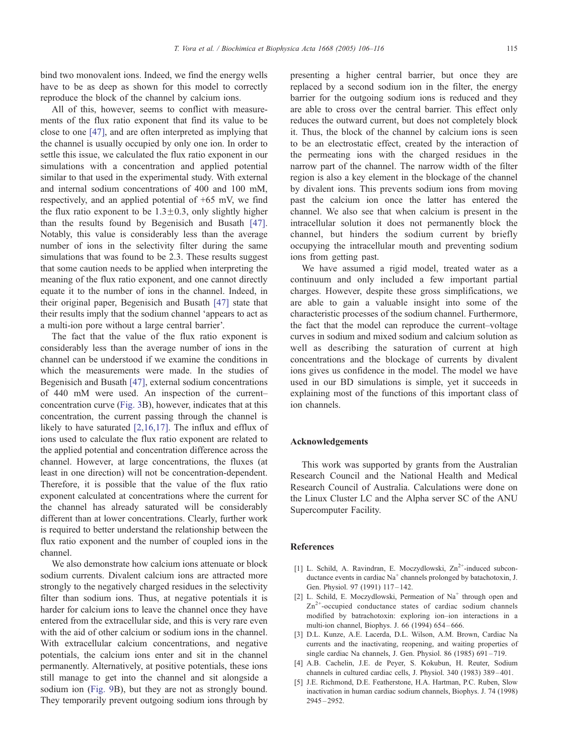<span id="page-9-0"></span>bind two monovalent ions. Indeed, we find the energy wells have to be as deep as shown for this model to correctly reproduce the block of the channel by calcium ions.

All of this, however, seems to conflict with measurements of the flux ratio exponent that find its value to be close to one [\[47\],](#page-10-0) and are often interpreted as implying that the channel is usually occupied by only one ion. In order to settle this issue, we calculated the flux ratio exponent in our simulations with a concentration and applied potential similar to that used in the experimental study. With external and internal sodium concentrations of 400 and 100 mM, respectively, and an applied potential of +65 mV, we find the flux ratio exponent to be  $1.3\pm0.3$ , only slightly higher than the results found by Begenisich and Busath [\[47\].](#page-10-0) Notably, this value is considerably less than the average number of ions in the selectivity filter during the same simulations that was found to be 2.3. These results suggest that some caution needs to be applied when interpreting the meaning of the flux ratio exponent, and one cannot directly equate it to the number of ions in the channel. Indeed, in their original paper, Begenisich and Busath [\[47\]](#page-10-0) state that their results imply that the sodium channel 'appears to act as a multi-ion pore without a large central barrier'.

The fact that the value of the flux ratio exponent is considerably less than the average number of ions in the channel can be understood if we examine the conditions in which the measurements were made. In the studies of Begenisich and Busath [\[47\],](#page-10-0) external sodium concentrations of 440 mM were used. An inspection of the current– concentration curve ([Fig. 3B](#page-3-0)), however, indicates that at this concentration, the current passing through the channel is likely to have saturated [2,16,17]. The influx and efflux of ions used to calculate the flux ratio exponent are related to the applied potential and concentration difference across the channel. However, at large concentrations, the fluxes (at least in one direction) will not be concentration-dependent. Therefore, it is possible that the value of the flux ratio exponent calculated at concentrations where the current for the channel has already saturated will be considerably different than at lower concentrations. Clearly, further work is required to better understand the relationship between the flux ratio exponent and the number of coupled ions in the channel.

We also demonstrate how calcium ions attenuate or block sodium currents. Divalent calcium ions are attracted more strongly to the negatively charged residues in the selectivity filter than sodium ions. Thus, at negative potentials it is harder for calcium ions to leave the channel once they have entered from the extracellular side, and this is very rare even with the aid of other calcium or sodium ions in the channel. With extracellular calcium concentrations, and negative potentials, the calcium ions enter and sit in the channel permanently. Alternatively, at positive potentials, these ions still manage to get into the channel and sit alongside a sodium ion ([Fig. 9B](#page-8-0)), but they are not as strongly bound. They temporarily prevent outgoing sodium ions through by

presenting a higher central barrier, but once they are replaced by a second sodium ion in the filter, the energy barrier for the outgoing sodium ions is reduced and they are able to cross over the central barrier. This effect only reduces the outward current, but does not completely block it. Thus, the block of the channel by calcium ions is seen to be an electrostatic effect, created by the interaction of the permeating ions with the charged residues in the narrow part of the channel. The narrow width of the filter region is also a key element in the blockage of the channel by divalent ions. This prevents sodium ions from moving past the calcium ion once the latter has entered the channel. We also see that when calcium is present in the intracellular solution it does not permanently block the channel, but hinders the sodium current by briefly occupying the intracellular mouth and preventing sodium ions from getting past.

We have assumed a rigid model, treated water as a continuum and only included a few important partial charges. However, despite these gross simplifications, we are able to gain a valuable insight into some of the characteristic processes of the sodium channel. Furthermore, the fact that the model can reproduce the current–voltage curves in sodium and mixed sodium and calcium solution as well as describing the saturation of current at high concentrations and the blockage of currents by divalent ions gives us confidence in the model. The model we have used in our BD simulations is simple, yet it succeeds in explaining most of the functions of this important class of ion channels.

### Acknowledgements

This work was supported by grants from the Australian Research Council and the National Health and Medical Research Council of Australia. Calculations were done on the Linux Cluster LC and the Alpha server SC of the ANU Supercomputer Facility.

#### References

- [1] L. Schild, A. Ravindran, E. Moczydlowski, Zn<sup>2+</sup>-induced subconductance events in cardiac  $Na<sup>+</sup>$  channels prolonged by batachotoxin, J. Gen. Physiol. 97 (1991) 117-142.
- [2] L. Schild, E. Moczydlowski, Permeation of Na<sup>+</sup> through open and  $\text{Zn}^{2+}$ -occupied conductance states of cardiac sodium channels modified by batrachotoxin: exploring ion–ion interactions in a multi-ion channel, Biophys. J. 66 (1994) 654 – 666.
- [3] D.L. Kunze, A.E. Lacerda, D.L. Wilson, A.M. Brown, Cardiac Na currents and the inactivating, reopening, and waiting properties of single cardiac Na channels, J. Gen. Physiol. 86 (1985)  $691 - 719$ .
- [4] A.B. Cachelin, J.E. de Peyer, S. Kokubun, H. Reuter, Sodium channels in cultured cardiac cells, J. Physiol. 340 (1983) 389 – 401.
- [5] J.E. Richmond, D.E. Featherstone, H.A. Hartman, P.C. Ruben, Slow inactivation in human cardiac sodium channels, Biophys. J. 74 (1998) 2945 – 2952.